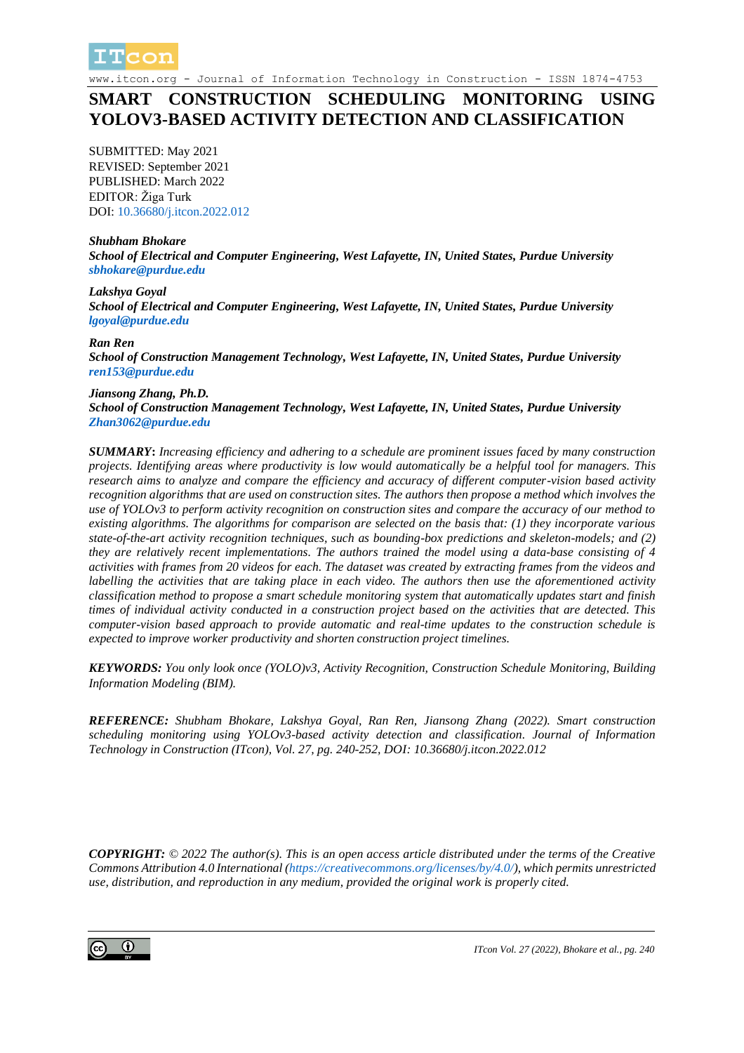

www.itcon.org - Journal of Information Technology in Construction - ISSN 1874-4753

# **SMART CONSTRUCTION SCHEDULING MONITORING USING YOLOV3-BASED ACTIVITY DETECTION AND CLASSIFICATION**

SUBMITTED: May 2021 REVISED: September 2021 PUBLISHED: March 2022 EDITOR: Žiga Turk DOI: [10.36680/j.itcon.2022.012](https://dx.doi.org/10.36680/j.itcon.2022.012)

#### *Shubham Bhokare*

*School of Electrical and Computer Engineering, West Lafayette, IN, United States, Purdue University [sbhokare@purdue.edu](mailto:sbhokare@purdue.edu)*

#### *Lakshya Goyal School of Electrical and Computer Engineering, West Lafayette, IN, United States, Purdue University [lgoyal@purdue.edu](mailto:lgoyal@purdue.edu)*

#### *Ran Ren*

*School of Construction Management Technology, West Lafayette, IN, United States, Purdue University [ren153@purdue.edu](mailto:ren153@purdue.edu)*

#### *Jiansong Zhang, Ph.D.*

*School of Construction Management Technology, West Lafayette, IN, United States, Purdue University [Zhan3062@purdue.edu](mailto:Zhan3062@purdue.edu)*

*SUMMARY***:** *Increasing efficiency and adhering to a schedule are prominent issues faced by many construction projects. Identifying areas where productivity is low would automatically be a helpful tool for managers. This research aims to analyze and compare the efficiency and accuracy of different computer-vision based activity recognition algorithms that are used on construction sites. The authors then propose a method which involves the use of YOLOv3 to perform activity recognition on construction sites and compare the accuracy of our method to existing algorithms. The algorithms for comparison are selected on the basis that: (1) they incorporate various state-of-the-art activity recognition techniques, such as bounding-box predictions and skeleton-models; and (2) they are relatively recent implementations. The authors trained the model using a data-base consisting of 4 activities with frames from 20 videos for each. The dataset was created by extracting frames from the videos and labelling the activities that are taking place in each video. The authors then use the aforementioned activity classification method to propose a smart schedule monitoring system that automatically updates start and finish times of individual activity conducted in a construction project based on the activities that are detected. This computer-vision based approach to provide automatic and real-time updates to the construction schedule is expected to improve worker productivity and shorten construction project timelines.*

*KEYWORDS: You only look once (YOLO)v3, Activity Recognition, Construction Schedule Monitoring, Building Information Modeling (BIM).*

*REFERENCE: Shubham Bhokare, Lakshya Goyal, Ran Ren, Jiansong Zhang (2022). Smart construction scheduling monitoring using YOLOv3-based activity detection and classification. Journal of Information Technology in Construction (ITcon), Vol. 27, pg. 240-252, DOI: 10.36680/j.itcon.2022.012*

*COPYRIGHT: © 2022 The author(s). This is an open access article distributed under the terms of the Creative Commons Attribution 4.0 International [\(https://creativecommons.org/licenses/by/4.0/\)](https://creativecommons.org/licenses/by/4.0/), which permits unrestricted use, distribution, and reproduction in any medium, provided the original work is properly cited.*

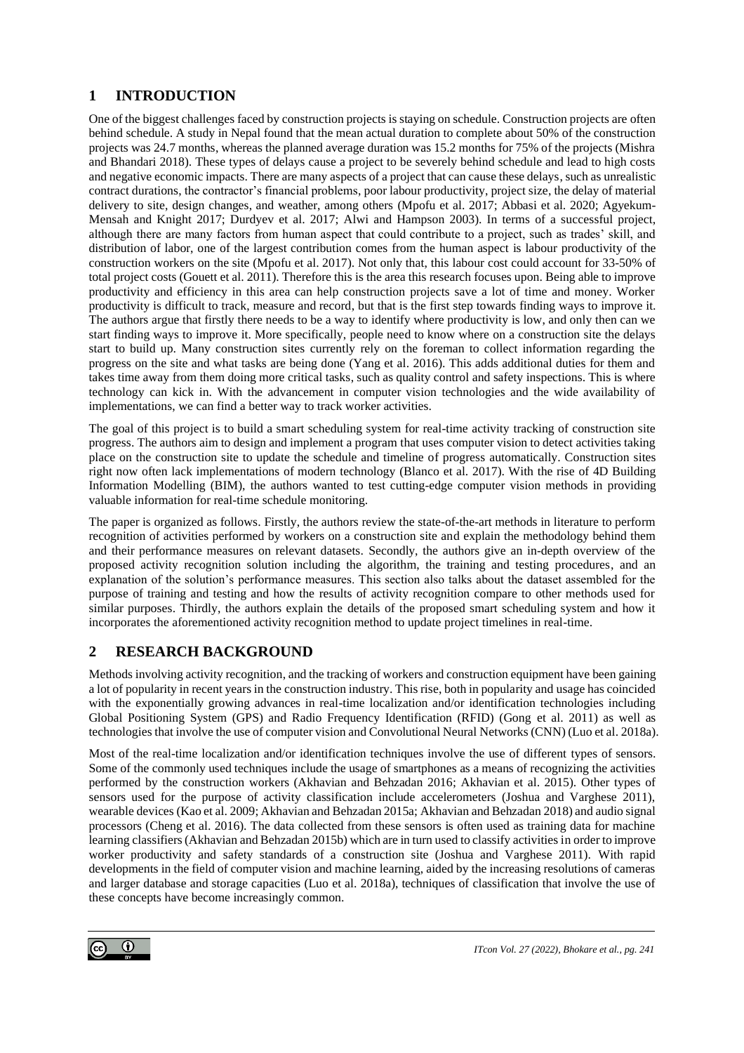# **1 INTRODUCTION**

One of the biggest challenges faced by construction projects is staying on schedule. Construction projects are often behind schedule. A study in Nepal found that the mean actual duration to complete about 50% of the construction projects was 24.7 months, whereas the planned average duration was 15.2 months for 75% of the projects (Mishra and Bhandari 2018). These types of delays cause a project to be severely behind schedule and lead to high costs and negative economic impacts. There are many aspects of a project that can cause these delays, such as unrealistic contract durations, the contractor's financial problems, poor labour productivity, project size, the delay of material delivery to site, design changes, and weather, among others (Mpofu et al. 2017; Abbasi et al. 2020; Agyekum-Mensah and Knight 2017; Durdyev et al. 2017; Alwi and Hampson 2003). In terms of a successful project, although there are many factors from human aspect that could contribute to a project, such as trades' skill, and distribution of labor, one of the largest contribution comes from the human aspect is labour productivity of the construction workers on the site (Mpofu et al. 2017). Not only that, this labour cost could account for 33-50% of total project costs (Gouett et al. 2011). Therefore this is the area this research focuses upon. Being able to improve productivity and efficiency in this area can help construction projects save a lot of time and money. Worker productivity is difficult to track, measure and record, but that is the first step towards finding ways to improve it. The authors argue that firstly there needs to be a way to identify where productivity is low, and only then can we start finding ways to improve it. More specifically, people need to know where on a construction site the delays start to build up. Many construction sites currently rely on the foreman to collect information regarding the progress on the site and what tasks are being done (Yang et al. 2016). This adds additional duties for them and takes time away from them doing more critical tasks, such as quality control and safety inspections. This is where technology can kick in. With the advancement in computer vision technologies and the wide availability of implementations, we can find a better way to track worker activities.

The goal of this project is to build a smart scheduling system for real-time activity tracking of construction site progress. The authors aim to design and implement a program that uses computer vision to detect activities taking place on the construction site to update the schedule and timeline of progress automatically. Construction sites right now often lack implementations of modern technology (Blanco et al. 2017). With the rise of 4D Building Information Modelling (BIM), the authors wanted to test cutting-edge computer vision methods in providing valuable information for real-time schedule monitoring.

The paper is organized as follows. Firstly, the authors review the state-of-the-art methods in literature to perform recognition of activities performed by workers on a construction site and explain the methodology behind them and their performance measures on relevant datasets. Secondly, the authors give an in-depth overview of the proposed activity recognition solution including the algorithm, the training and testing procedures, and an explanation of the solution's performance measures. This section also talks about the dataset assembled for the purpose of training and testing and how the results of activity recognition compare to other methods used for similar purposes. Thirdly, the authors explain the details of the proposed smart scheduling system and how it incorporates the aforementioned activity recognition method to update project timelines in real-time.

# **2 RESEARCH BACKGROUND**

Methods involving activity recognition, and the tracking of workers and construction equipment have been gaining a lot of popularity in recent years in the construction industry. This rise, both in popularity and usage has coincided with the exponentially growing advances in real-time localization and/or identification technologies including Global Positioning System (GPS) and Radio Frequency Identification (RFID) (Gong et al. 2011) as well as technologies that involve the use of computer vision and Convolutional Neural Networks (CNN) (Luo et al. 2018a).

Most of the real-time localization and/or identification techniques involve the use of different types of sensors. Some of the commonly used techniques include the usage of smartphones as a means of recognizing the activities performed by the construction workers (Akhavian and Behzadan 2016; Akhavian et al. 2015). Other types of sensors used for the purpose of activity classification include accelerometers (Joshua and Varghese 2011), wearable devices (Kao et al. 2009; Akhavian and Behzadan 2015a; Akhavian and Behzadan 2018) and audio signal processors (Cheng et al. 2016). The data collected from these sensors is often used as training data for machine learning classifiers (Akhavian and Behzadan 2015b) which are in turn used to classify activities in order to improve worker productivity and safety standards of a construction site (Joshua and Varghese 2011). With rapid developments in the field of computer vision and machine learning, aided by the increasing resolutions of cameras and larger database and storage capacities (Luo et al. 2018a), techniques of classification that involve the use of these concepts have become increasingly common.

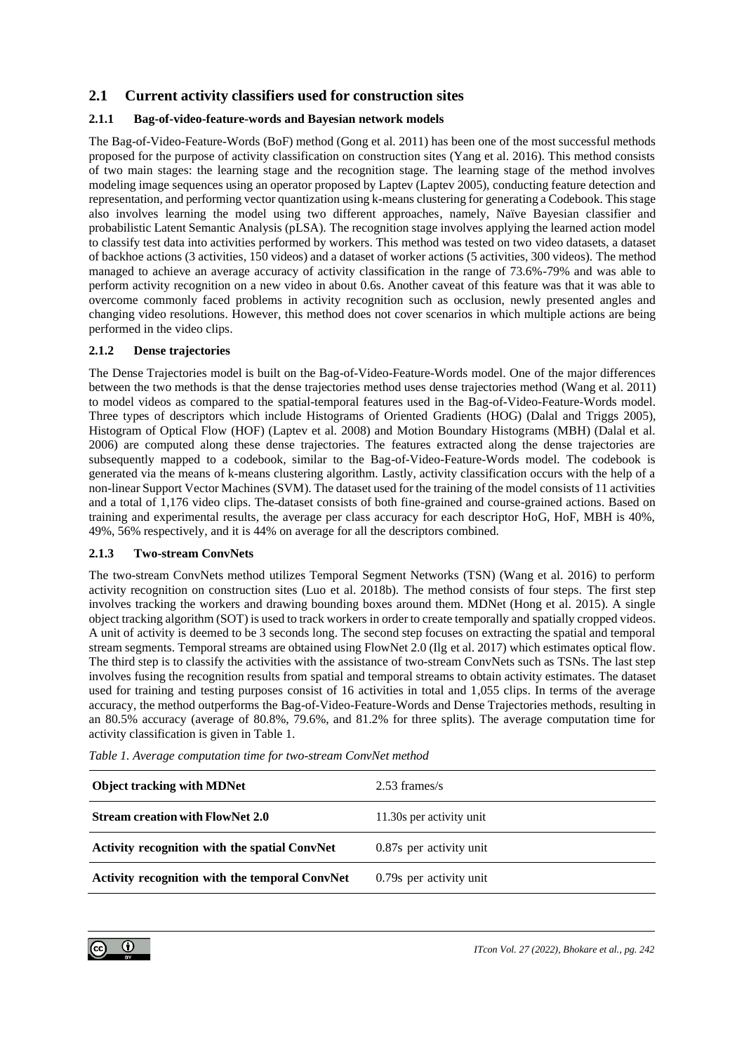## **2.1 Current activity classifiers used for construction sites**

### **2.1.1 Bag-of-video-feature-words and Bayesian network models**

The Bag-of-Video-Feature-Words (BoF) method (Gong et al. 2011) has been one of the most successful methods proposed for the purpose of activity classification on construction sites (Yang et al. 2016). This method consists of two main stages: the learning stage and the recognition stage. The learning stage of the method involves modeling image sequences using an operator proposed by Laptev (Laptev 2005), conducting feature detection and representation, and performing vector quantization using k-means clustering for generating a Codebook. This stage also involves learning the model using two different approaches, namely, Naïve Bayesian classifier and probabilistic Latent Semantic Analysis (pLSA). The recognition stage involves applying the learned action model to classify test data into activities performed by workers. This method was tested on two video datasets, a dataset of backhoe actions (3 activities, 150 videos) and a dataset of worker actions (5 activities, 300 videos). The method managed to achieve an average accuracy of activity classification in the range of 73.6%-79% and was able to perform activity recognition on a new video in about 0.6s. Another caveat of this feature was that it was able to overcome commonly faced problems in activity recognition such as occlusion, newly presented angles and changing video resolutions. However, this method does not cover scenarios in which multiple actions are being performed in the video clips.

### **2.1.2 Dense trajectories**

The Dense Trajectories model is built on the Bag-of-Video-Feature-Words model. One of the major differences between the two methods is that the dense trajectories method uses dense trajectories method (Wang et al. 2011) to model videos as compared to the spatial-temporal features used in the Bag-of-Video-Feature-Words model. Three types of descriptors which include Histograms of Oriented Gradients (HOG) (Dalal and Triggs 2005), Histogram of Optical Flow (HOF) (Laptev et al. 2008) and Motion Boundary Histograms (MBH) (Dalal et al. 2006) are computed along these dense trajectories. The features extracted along the dense trajectories are subsequently mapped to a codebook, similar to the Bag-of-Video-Feature-Words model. The codebook is generated via the means of k-means clustering algorithm. Lastly, activity classification occurs with the help of a non-linear Support Vector Machines (SVM). The dataset used for the training of the model consists of 11 activities and a total of 1,176 video clips. The dataset consists of both fine-grained and course-grained actions. Based on training and experimental results, the average per class accuracy for each descriptor HoG, HoF, MBH is 40%, 49%, 56% respectively, and it is 44% on average for all the descriptors combined.

### **2.1.3 Two-stream ConvNets**

The two-stream ConvNets method utilizes Temporal Segment Networks (TSN) (Wang et al. 2016) to perform activity recognition on construction sites (Luo et al. 2018b). The method consists of four steps. The first step involves tracking the workers and drawing bounding boxes around them. MDNet (Hong et al. 2015). A single object tracking algorithm (SOT) is used to track workers in order to create temporally and spatially cropped videos. A unit of activity is deemed to be 3 seconds long. The second step focuses on extracting the spatial and temporal stream segments. Temporal streams are obtained using FlowNet 2.0 (Ilg et al. 2017) which estimates optical flow. The third step is to classify the activities with the assistance of two-stream ConvNets such as TSNs. The last step involves fusing the recognition results from spatial and temporal streams to obtain activity estimates. The dataset used for training and testing purposes consist of 16 activities in total and 1,055 clips. In terms of the average accuracy, the method outperforms the Bag-of-Video-Feature-Words and Dense Trajectories methods, resulting in an 80.5% accuracy (average of 80.8%, 79.6%, and 81.2% for three splits). The average computation time for activity classification is given in Table 1.

| <b>Object tracking with MDNet</b>                     | $2.53$ frames/s          |
|-------------------------------------------------------|--------------------------|
| <b>Stream creation with FlowNet 2.0</b>               | 11.30s per activity unit |
| <b>Activity recognition with the spatial ConvNet</b>  | 0.87s per activity unit  |
| <b>Activity recognition with the temporal ConvNet</b> | 0.79s per activity unit  |

*Table 1. Average computation time for two-stream ConvNet method*

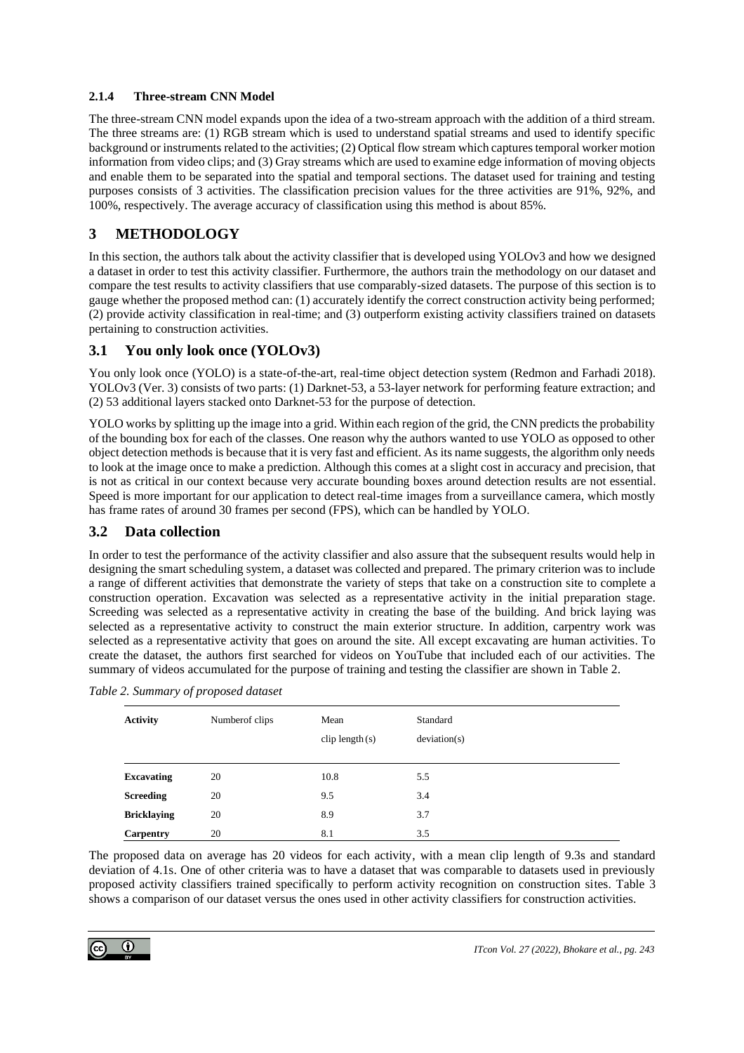### **2.1.4 Three-stream CNN Model**

The three-stream CNN model expands upon the idea of a two-stream approach with the addition of a third stream. The three streams are: (1) RGB stream which is used to understand spatial streams and used to identify specific background or instruments related to the activities; (2) Optical flow stream which captures temporal worker motion information from video clips; and (3) Gray streams which are used to examine edge information of moving objects and enable them to be separated into the spatial and temporal sections. The dataset used for training and testing purposes consists of 3 activities. The classification precision values for the three activities are 91%, 92%, and 100%, respectively. The average accuracy of classification using this method is about 85%.

## **3 METHODOLOGY**

In this section, the authors talk about the activity classifier that is developed using YOLOv3 and how we designed a dataset in order to test this activity classifier. Furthermore, the authors train the methodology on our dataset and compare the test results to activity classifiers that use comparably-sized datasets. The purpose of this section is to gauge whether the proposed method can: (1) accurately identify the correct construction activity being performed; (2) provide activity classification in real-time; and (3) outperform existing activity classifiers trained on datasets pertaining to construction activities.

## **3.1 You only look once (YOLOv3)**

You only look once (YOLO) is a state-of-the-art, real-time object detection system (Redmon and Farhadi 2018). YOLOv3 (Ver. 3) consists of two parts: (1) Darknet-53, a 53-layer network for performing feature extraction; and (2) 53 additional layers stacked onto Darknet-53 for the purpose of detection.

YOLO works by splitting up the image into a grid. Within each region of the grid, the CNN predicts the probability of the bounding box for each of the classes. One reason why the authors wanted to use YOLO as opposed to other object detection methods is because that it is very fast and efficient. As its name suggests, the algorithm only needs to look at the image once to make a prediction. Although this comes at a slight cost in accuracy and precision, that is not as critical in our context because very accurate bounding boxes around detection results are not essential. Speed is more important for our application to detect real-time images from a surveillance camera, which mostly has frame rates of around 30 frames per second (FPS), which can be handled by YOLO.

## **3.2 Data collection**

In order to test the performance of the activity classifier and also assure that the subsequent results would help in designing the smart scheduling system, a dataset was collected and prepared. The primary criterion was to include a range of different activities that demonstrate the variety of steps that take on a construction site to complete a construction operation. Excavation was selected as a representative activity in the initial preparation stage. Screeding was selected as a representative activity in creating the base of the building. And brick laying was selected as a representative activity to construct the main exterior structure. In addition, carpentry work was selected as a representative activity that goes on around the site. All except excavating are human activities. To create the dataset, the authors first searched for videos on YouTube that included each of our activities. The summary of videos accumulated for the purpose of training and testing the classifier are shown in Table 2.

| <b>Activity</b>    | Number of clips | Mean<br>$clip$ length $(s)$ | Standard<br>deviation(s) |  |
|--------------------|-----------------|-----------------------------|--------------------------|--|
|                    |                 |                             |                          |  |
| <b>Excavating</b>  | 20              | 10.8                        | 5.5                      |  |
| <b>Screeding</b>   | 20              | 9.5                         | 3.4                      |  |
| <b>Bricklaying</b> | 20              | 8.9                         | 3.7                      |  |
| Carpentry          | 20              | 8.1                         | 3.5                      |  |

The proposed data on average has 20 videos for each activity, with a mean clip length of 9.3s and standard deviation of 4.1s. One of other criteria was to have a dataset that was comparable to datasets used in previously proposed activity classifiers trained specifically to perform activity recognition on construction sites. Table 3 shows a comparison of our dataset versus the ones used in other activity classifiers for construction activities.

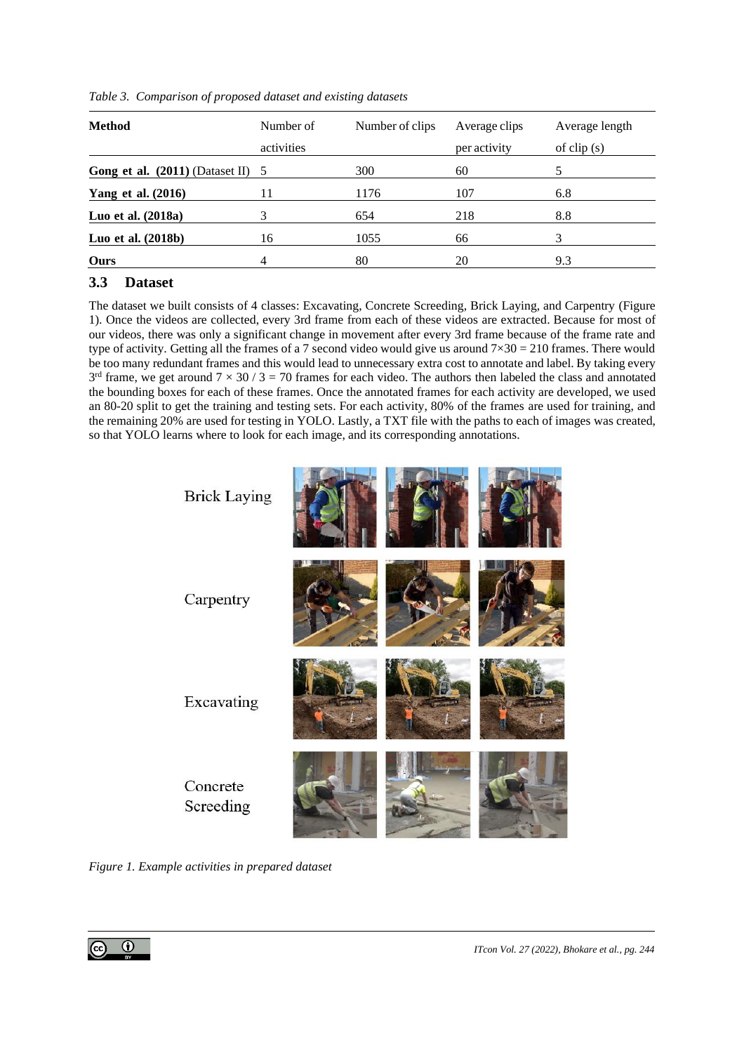| <b>Method</b>                       | Number of  | Number of clips | Average clips | Average length |
|-------------------------------------|------------|-----------------|---------------|----------------|
|                                     | activities |                 | per activity  | of $clip(s)$   |
| Gong et al. $(2011)$ (Dataset II) 5 |            | 300             | 60            |                |
| Yang et al. (2016)                  | 11         | 1176            | 107           | 6.8            |
| Luo et al. (2018a)                  |            | 654             | 218           | 8.8            |
| Luo et al. (2018b)                  | 16         | 1055            | 66            | 3              |
| Ours                                |            | 80              | 20            | 9.3            |

*Table 3. Comparison of proposed dataset and existing datasets*

## **3.3 Dataset**

The dataset we built consists of 4 classes: Excavating, Concrete Screeding, Brick Laying, and Carpentry (Figure 1). Once the videos are collected, every 3rd frame from each of these videos are extracted. Because for most of our videos, there was only a significant change in movement after every 3rd frame because of the frame rate and type of activity. Getting all the frames of a 7 second video would give us around  $7\times30 = 210$  frames. There would be too many redundant frames and this would lead to unnecessary extra cost to annotate and label. By taking every  $3<sup>rd</sup>$  frame, we get around  $7 \times 30 / 3 = 70$  frames for each video. The authors then labeled the class and annotated the bounding boxes for each of these frames. Once the annotated frames for each activity are developed, we used an 80-20 split to get the training and testing sets. For each activity, 80% of the frames are used for training, and the remaining 20% are used for testing in YOLO. Lastly, a TXT file with the paths to each of images was created, so that YOLO learns where to look for each image, and its corresponding annotations.



*Figure 1. Example activities in prepared dataset*

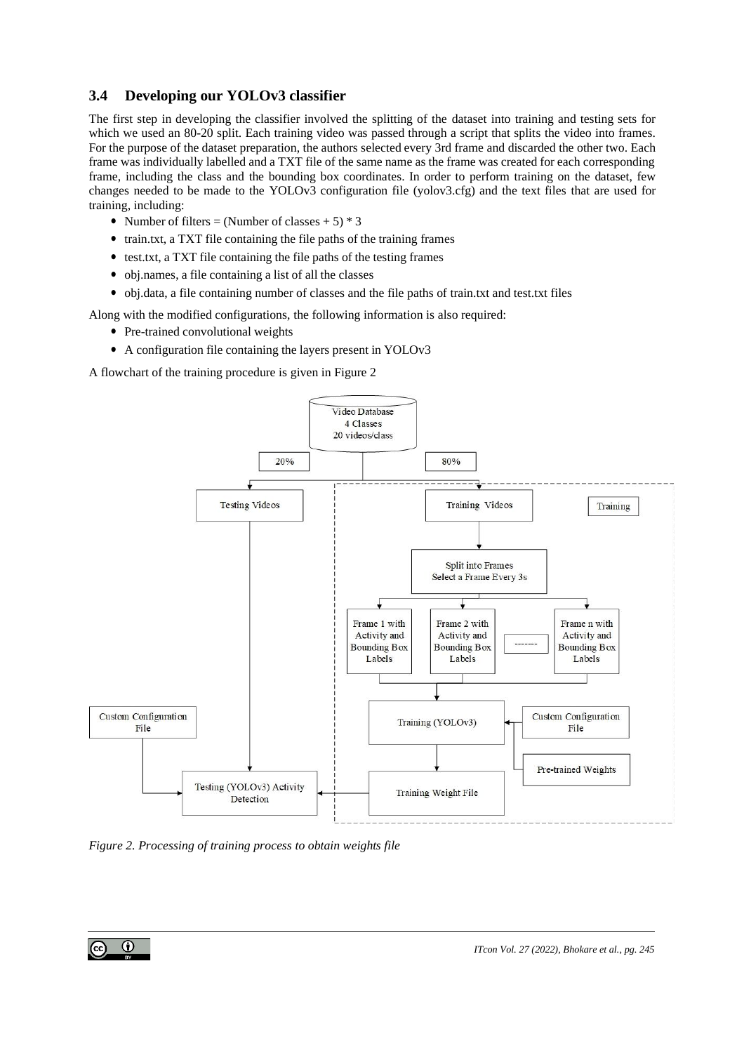## **3.4 Developing our YOLOv3 classifier**

The first step in developing the classifier involved the splitting of the dataset into training and testing sets for which we used an 80-20 split. Each training video was passed through a script that splits the video into frames. For the purpose of the dataset preparation, the authors selected every 3rd frame and discarded the other two. Each frame was individually labelled and a TXT file of the same name as the frame was created for each corresponding frame, including the class and the bounding box coordinates. In order to perform training on the dataset, few changes needed to be made to the YOLOv3 configuration file (yolov3.cfg) and the text files that are used for training, including:

- Number of filters = (Number of classes  $+5$ )  $*$  3
- *•* train.txt, a TXT file containing the file paths of the training frames
- *•* test.txt, a TXT file containing the file paths of the testing frames
- *•* obj.names, a file containing a list of all the classes
- obj.data, a file containing number of classes and the file paths of train.txt and test.txt files

Along with the modified configurations, the following information is also required:

- Pre-trained convolutional weights
- *•* A configuration file containing the layers present in YOLOv3

A flowchart of the training procedure is given in Figure 2



*Figure 2. Processing of training process to obtain weights file*

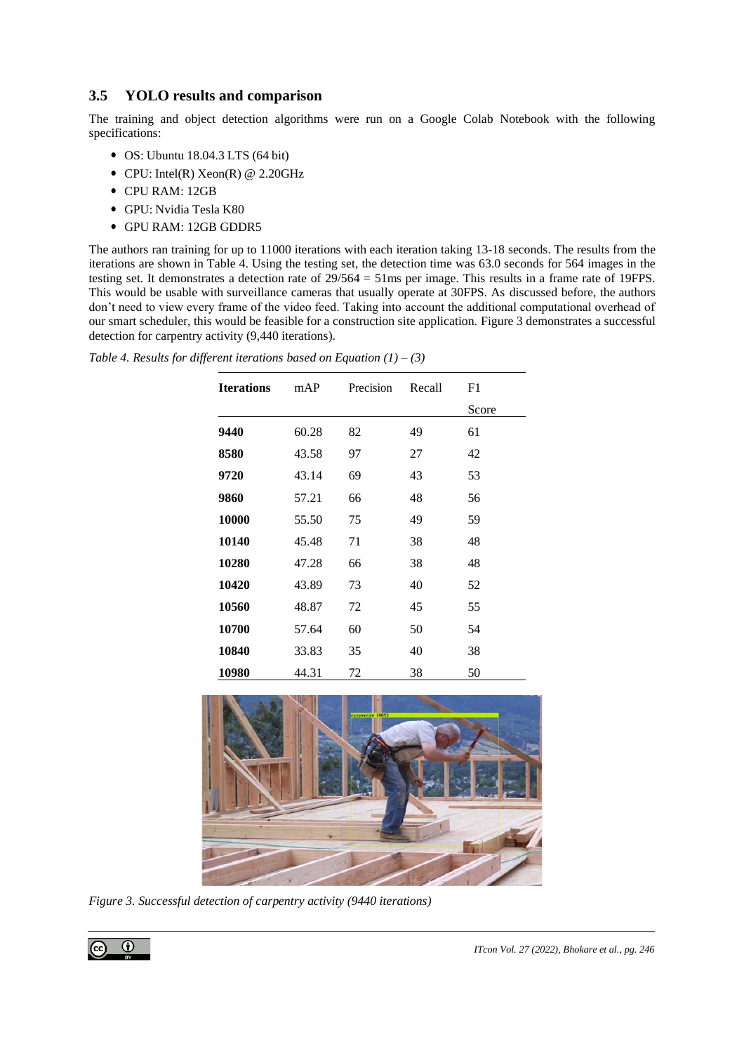## **3.5 YOLO results and comparison**

The training and object detection algorithms were run on a Google Colab Notebook with the following specifications:

- *•* OS: Ubuntu 18.04.3 LTS (64 bit)
- *•* CPU: Intel(R) Xeon(R) @ 2.20GHz
- *•* CPU RAM: 12GB
- *•* GPU: Nvidia Tesla K80
- *•* GPU RAM: 12GB GDDR5

The authors ran training for up to 11000 iterations with each iteration taking 13-18 seconds. The results from the iterations are shown in Table 4. Using the testing set, the detection time was 63.0 seconds for 564 images in the testing set. It demonstrates a detection rate of 29/564 = 51ms per image. This results in a frame rate of 19FPS. This would be usable with surveillance cameras that usually operate at 30FPS. As discussed before, the authors don't need to view every frame of the video feed. Taking into account the additional computational overhead of our smart scheduler, this would be feasible for a construction site application. Figure 3 demonstrates a successful detection for carpentry activity (9,440 iterations).

| <b>Iterations</b> | mAP   | Precision | Recall | F1    |
|-------------------|-------|-----------|--------|-------|
|                   |       |           |        | Score |
| 9440              | 60.28 | 82        | 49     | 61    |
| 8580              | 43.58 | 97        | 27     | 42    |
| 9720              | 43.14 | 69        | 43     | 53    |
| 9860              | 57.21 | 66        | 48     | 56    |
| 10000             | 55.50 | 75        | 49     | 59    |
| 10140             | 45.48 | 71        | 38     | 48    |
| 10280             | 47.28 | 66        | 38     | 48    |
| 10420             | 43.89 | 73        | 40     | 52    |
| 10560             | 48.87 | 72        | 45     | 55    |
| 10700             | 57.64 | 60        | 50     | 54    |
| 10840             | 33.83 | 35        | 40     | 38    |
| 10980             | 44.31 | 72        | 38     | 50    |

*Table 4. Results for different iterations based on Equation (1) – (3)*



*Figure 3. Successful detection of carpentry activity (9440 iterations)*

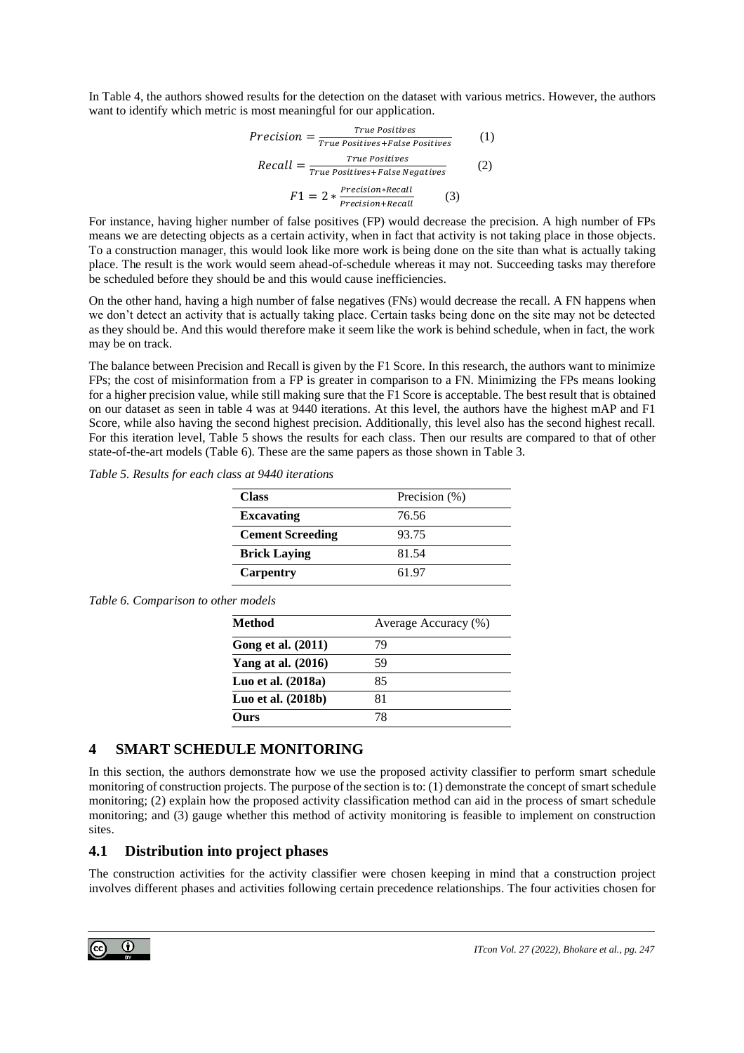In Table 4, the authors showed results for the detection on the dataset with various metrics. However, the authors want to identify which metric is most meaningful for our application.

$$
Precision = \frac{True \; Positives}{True \; Positives + False \; Positives} \qquad (1)
$$
\n
$$
Recall = \frac{True \; Positives}{True \; Positives + False \; Negatives} \qquad (2)
$$
\n
$$
F1 = 2 * \frac{Precision * Recall}{Precision + Recall} \qquad (3)
$$

For instance, having higher number of false positives (FP) would decrease the precision. A high number of FPs means we are detecting objects as a certain activity, when in fact that activity is not taking place in those objects. To a construction manager, this would look like more work is being done on the site than what is actually taking place. The result is the work would seem ahead-of-schedule whereas it may not. Succeeding tasks may therefore be scheduled before they should be and this would cause inefficiencies.

On the other hand, having a high number of false negatives (FNs) would decrease the recall. A FN happens when we don't detect an activity that is actually taking place. Certain tasks being done on the site may not be detected as they should be. And this would therefore make it seem like the work is behind schedule, when in fact, the work may be on track.

The balance between Precision and Recall is given by the F1 Score. In this research, the authors want to minimize FPs; the cost of misinformation from a FP is greater in comparison to a FN. Minimizing the FPs means looking for a higher precision value, while still making sure that the F1 Score is acceptable. The best result that is obtained on our dataset as seen in table 4 was at 9440 iterations. At this level, the authors have the highest mAP and F1 Score, while also having the second highest precision. Additionally, this level also has the second highest recall. For this iteration level, Table 5 shows the results for each class. Then our results are compared to that of other state-of-the-art models (Table 6). These are the same papers as those shown in Table 3.

*Table 5. Results for each class at 9440 iterations*

| <b>Class</b>            | Precision (%) |
|-------------------------|---------------|
| <b>Excavating</b>       | 76.56         |
| <b>Cement Screeding</b> | 93.75         |
| <b>Brick Laying</b>     | 81.54         |
| <b>Carpentry</b>        | 61.97         |

#### *Table 6. Comparison to other models*

| <b>Method</b>        | Average Accuracy (%) |  |
|----------------------|----------------------|--|
| Gong et al. (2011)   | 79                   |  |
| Yang at al. $(2016)$ | 59                   |  |
| Luo et al. (2018a)   | 85                   |  |
| Luo et al. $(2018b)$ | 81                   |  |
| Ours                 | 78                   |  |

## **4 SMART SCHEDULE MONITORING**

In this section, the authors demonstrate how we use the proposed activity classifier to perform smart schedule monitoring of construction projects. The purpose of the section is to: (1) demonstrate the concept of smart schedule monitoring; (2) explain how the proposed activity classification method can aid in the process of smart schedule monitoring; and (3) gauge whether this method of activity monitoring is feasible to implement on construction sites.

### **4.1 Distribution into project phases**

The construction activities for the activity classifier were chosen keeping in mind that a construction project involves different phases and activities following certain precedence relationships. The four activities chosen for

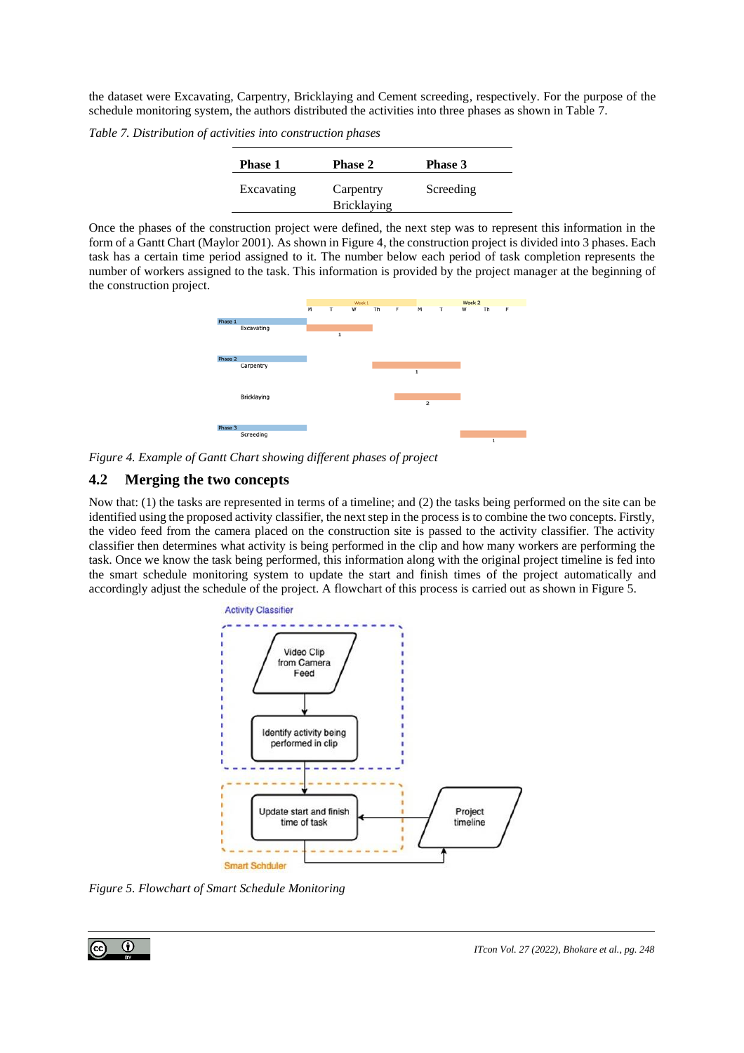the dataset were Excavating, Carpentry, Bricklaying and Cement screeding, respectively. For the purpose of the schedule monitoring system, the authors distributed the activities into three phases as shown in Table 7.

*Table 7. Distribution of activities into construction phases*

| <b>Phase 1</b> | <b>Phase 2</b>                  | <b>Phase 3</b> |
|----------------|---------------------------------|----------------|
| Excavating     | Carpentry<br><b>Bricklaying</b> | Screeding      |

Once the phases of the construction project were defined, the next step was to represent this information in the form of a Gantt Chart (Maylor 2001). As shown in Figure 4, the construction project is divided into 3 phases. Each task has a certain time period assigned to it. The number below each period of task completion represents the number of workers assigned to the task. This information is provided by the project manager at the beginning of the construction project.



*Figure 4. Example of Gantt Chart showing different phases of project*

## **4.2 Merging the two concepts**

Now that: (1) the tasks are represented in terms of a timeline; and (2) the tasks being performed on the site can be identified using the proposed activity classifier, the next step in the process is to combine the two concepts. Firstly, the video feed from the camera placed on the construction site is passed to the activity classifier. The activity classifier then determines what activity is being performed in the clip and how many workers are performing the task. Once we know the task being performed, this information along with the original project timeline is fed into the smart schedule monitoring system to update the start and finish times of the project automatically and accordingly adjust the schedule of the project. A flowchart of this process is carried out as shown in Figure 5.



*Figure 5. Flowchart of Smart Schedule Monitoring*

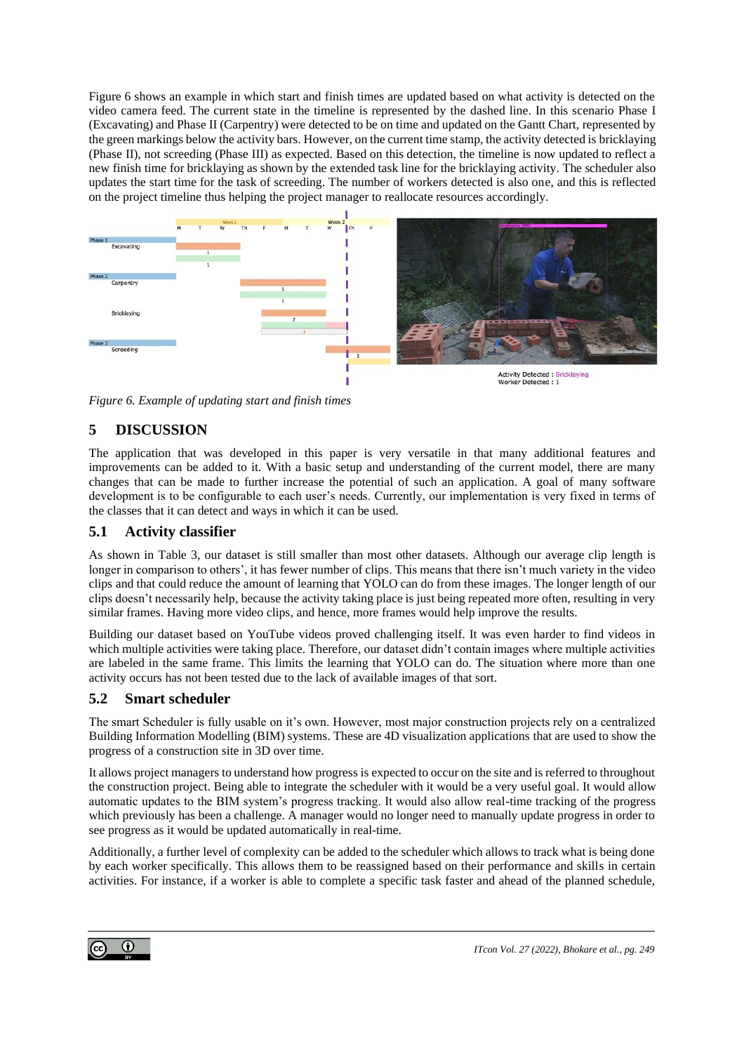Figure 6 shows an example in which start and finish times are updated based on what activity is detected on the video camera feed. The current state in the timeline is represented by the dashed line. In this scenario Phase I (Excavating) and Phase II (Carpentry) were detected to be on time and updated on the Gantt Chart, represented by the green markings below the activity bars. However, on the current time stamp, the activity detected is bricklaying (Phase II), not screeding (Phase III) as expected. Based on this detection, the timeline is now updated to reflect a new finish time for bricklaying as shown by the extended task line for the bricklaying activity. The scheduler also updates the start time for the task of screeding. The number of workers detected is also one, and this is reflected on the project timeline thus helping the project manager to reallocate resources accordingly.



*Figure 6. Example of updating start and finish times*

# **5 DISCUSSION**

The application that was developed in this paper is very versatile in that many additional features and improvements can be added to it. With a basic setup and understanding of the current model, there are many changes that can be made to further increase the potential of such an application. A goal of many software development is to be configurable to each user's needs. Currently, our implementation is very fixed in terms of the classes that it can detect and ways in which it can be used.

## **5.1 Activity classifier**

As shown in Table 3, our dataset is still smaller than most other datasets. Although our average clip length is longer in comparison to others', it has fewer number of clips. This means that there isn't much variety in the video clips and that could reduce the amount of learning that YOLO can do from these images. The longer length of our clips doesn't necessarily help, because the activity taking place is just being repeated more often, resulting in very similar frames. Having more video clips, and hence, more frames would help improve the results.

Building our dataset based on YouTube videos proved challenging itself. It was even harder to find videos in which multiple activities were taking place. Therefore, our dataset didn't contain images where multiple activities are labeled in the same frame. This limits the learning that YOLO can do. The situation where more than one activity occurs has not been tested due to the lack of available images of that sort.

## **5.2 Smart scheduler**

The smart Scheduler is fully usable on it's own. However, most major construction projects rely on a centralized Building Information Modelling (BIM) systems. These are 4D visualization applications that are used to show the progress of a construction site in 3D over time.

It allows project managers to understand how progress is expected to occur on the site and is referred to throughout the construction project. Being able to integrate the scheduler with it would be a very useful goal. It would allow automatic updates to the BIM system's progress tracking. It would also allow real-time tracking of the progress which previously has been a challenge. A manager would no longer need to manually update progress in order to see progress as it would be updated automatically in real-time.

Additionally, a further level of complexity can be added to the scheduler which allows to track what is being done by each worker specifically. This allows them to be reassigned based on their performance and skills in certain activities. For instance, if a worker is able to complete a specific task faster and ahead of the planned schedule,

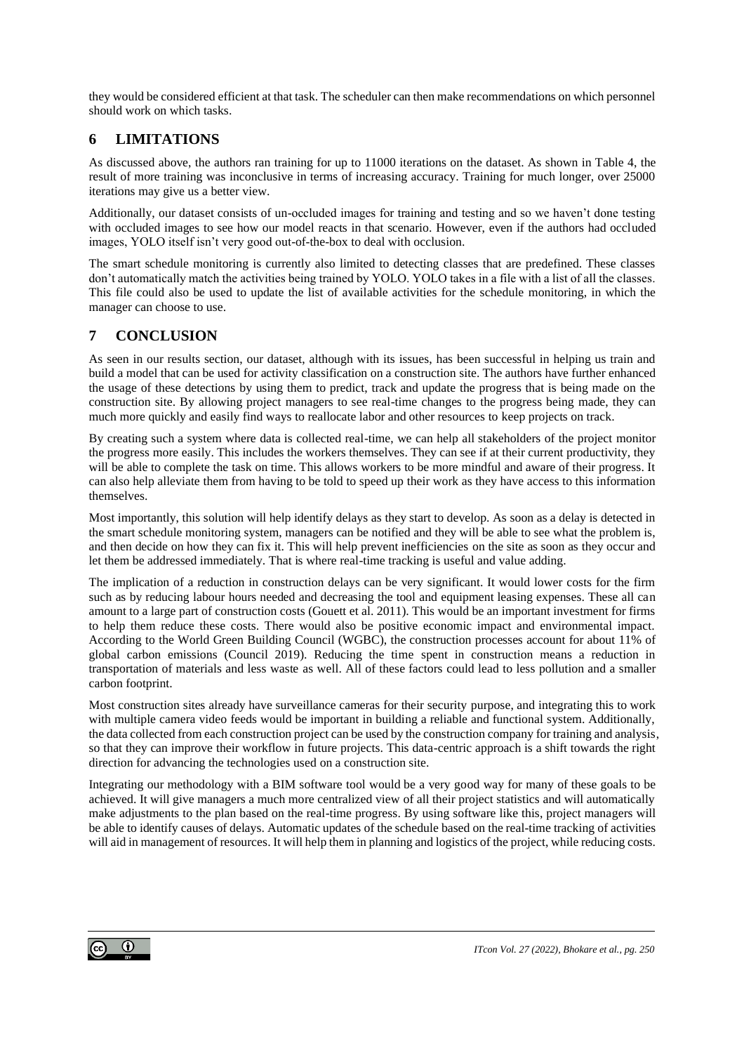they would be considered efficient at that task. The scheduler can then make recommendations on which personnel should work on which tasks.

## **6 LIMITATIONS**

As discussed above, the authors ran training for up to 11000 iterations on the dataset. As shown in Table 4, the result of more training was inconclusive in terms of increasing accuracy. Training for much longer, over 25000 iterations may give us a better view.

Additionally, our dataset consists of un-occluded images for training and testing and so we haven't done testing with occluded images to see how our model reacts in that scenario. However, even if the authors had occluded images, YOLO itself isn't very good out-of-the-box to deal with occlusion.

The smart schedule monitoring is currently also limited to detecting classes that are predefined. These classes don't automatically match the activities being trained by YOLO. YOLO takes in a file with a list of all the classes. This file could also be used to update the list of available activities for the schedule monitoring, in which the manager can choose to use.

# **7 CONCLUSION**

As seen in our results section, our dataset, although with its issues, has been successful in helping us train and build a model that can be used for activity classification on a construction site. The authors have further enhanced the usage of these detections by using them to predict, track and update the progress that is being made on the construction site. By allowing project managers to see real-time changes to the progress being made, they can much more quickly and easily find ways to reallocate labor and other resources to keep projects on track.

By creating such a system where data is collected real-time, we can help all stakeholders of the project monitor the progress more easily. This includes the workers themselves. They can see if at their current productivity, they will be able to complete the task on time. This allows workers to be more mindful and aware of their progress. It can also help alleviate them from having to be told to speed up their work as they have access to this information themselves.

Most importantly, this solution will help identify delays as they start to develop. As soon as a delay is detected in the smart schedule monitoring system, managers can be notified and they will be able to see what the problem is, and then decide on how they can fix it. This will help prevent inefficiencies on the site as soon as they occur and let them be addressed immediately. That is where real-time tracking is useful and value adding.

The implication of a reduction in construction delays can be very significant. It would lower costs for the firm such as by reducing labour hours needed and decreasing the tool and equipment leasing expenses. These all can amount to a large part of construction costs (Gouett et al. 2011). This would be an important investment for firms to help them reduce these costs. There would also be positive economic impact and environmental impact. According to the World Green Building Council (WGBC), the construction processes account for about 11% of global carbon emissions (Council 2019). Reducing the time spent in construction means a reduction in transportation of materials and less waste as well. All of these factors could lead to less pollution and a smaller carbon footprint.

Most construction sites already have surveillance cameras for their security purpose, and integrating this to work with multiple camera video feeds would be important in building a reliable and functional system. Additionally, the data collected from each construction project can be used by the construction company for training and analysis, so that they can improve their workflow in future projects. This data-centric approach is a shift towards the right direction for advancing the technologies used on a construction site.

Integrating our methodology with a BIM software tool would be a very good way for many of these goals to be achieved. It will give managers a much more centralized view of all their project statistics and will automatically make adjustments to the plan based on the real-time progress. By using software like this, project managers will be able to identify causes of delays. Automatic updates of the schedule based on the real-time tracking of activities will aid in management of resources. It will help them in planning and logistics of the project, while reducing costs.

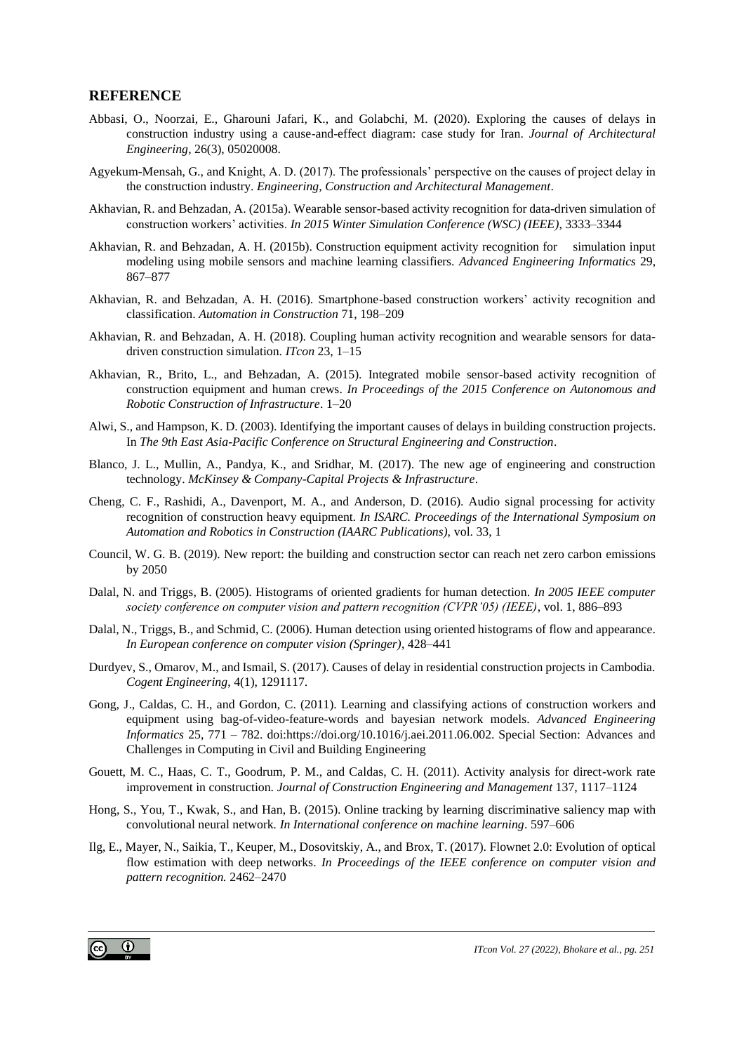### **REFERENCE**

- Abbasi, O., Noorzai, E., Gharouni Jafari, K., and Golabchi, M. (2020). Exploring the causes of delays in construction industry using a cause-and-effect diagram: case study for Iran. *Journal of Architectural Engineering*, 26(3), 05020008.
- Agyekum-Mensah, G., and Knight, A. D. (2017). The professionals' perspective on the causes of project delay in the construction industry. *Engineering, Construction and Architectural Management*.
- Akhavian, R. and Behzadan, A. (2015a). Wearable sensor-based activity recognition for data-driven simulation of construction workers' activities. *In 2015 Winter Simulation Conference (WSC) (IEEE)*, 3333–3344
- Akhavian, R. and Behzadan, A. H. (2015b). Construction equipment activity recognition for simulation input modeling using mobile sensors and machine learning classifiers. *Advanced Engineering Informatics* 29, 867–877
- Akhavian, R. and Behzadan, A. H. (2016). Smartphone-based construction workers' activity recognition and classification. *Automation in Construction* 71, 198–209
- Akhavian, R. and Behzadan, A. H. (2018). Coupling human activity recognition and wearable sensors for datadriven construction simulation. *ITcon* 23, 1–15
- Akhavian, R., Brito, L., and Behzadan, A. (2015). Integrated mobile sensor-based activity recognition of construction equipment and human crews. *In Proceedings of the 2015 Conference on Autonomous and Robotic Construction of Infrastructure*. 1–20
- Alwi, S., and Hampson, K. D. (2003). Identifying the important causes of delays in building construction projects. In *The 9th East Asia-Pacific Conference on Structural Engineering and Construction*.
- Blanco, J. L., Mullin, A., Pandya, K., and Sridhar, M. (2017). The new age of engineering and construction technology. *McKinsey & Company-Capital Projects & Infrastructure*.
- Cheng, C. F., Rashidi, A., Davenport, M. A., and Anderson, D. (2016). Audio signal processing for activity recognition of construction heavy equipment*. In ISARC. Proceedings of the International Symposium on Automation and Robotics in Construction (IAARC Publications),* vol. 33, 1
- Council, W. G. B. (2019). New report: the building and construction sector can reach net zero carbon emissions by 2050
- Dalal, N. and Triggs, B. (2005). Histograms of oriented gradients for human detection. *In 2005 IEEE computer society conference on computer vision and pattern recognition (CVPR'05) (IEEE)*, vol. 1, 886–893
- <span id="page-11-0"></span>Dalal, N., Triggs, B., and Schmid, C. (2006). Human detection using oriented histograms of flow and appearance. *In European conference on computer vision (Springer)*, 428–441
- Durdyev, S., Omarov, M., and Ismail, S. (2017). Causes of delay in residential construction projects in Cambodia. *Cogent Engineering*, 4(1), 1291117.
- Gong, J., Caldas, C. H., and Gordon, C. (2011). Learning and classifying actions of construction workers and equipment using bag-of-video-feature-words and bayesian network models. *Advanced Engineering Informatics* 25, 771 – 782. doi:https://doi.org/10.1016/j.aei.2011.06.002. Special Section: Advances and Challenges in Computing in Civil and Building Engineering
- Gouett, M. C., Haas, C. T., Goodrum, P. M., and Caldas, C. H. (2011). Activity analysis for direct-work rate improvement in construction. *Journal of Construction Engineering and Management* 137, 1117–1124
- Hong, S., You, T., Kwak, S., and Han, B. (2015). Online tracking by learning discriminative saliency map with convolutional neural network*. In International conference on machine learning*. 597–606
- Ilg, E., Mayer, N., Saikia, T., Keuper, M., Dosovitskiy, A., and Brox, T. (2017). Flownet 2.0: Evolution of optical flow estimation with deep networks. *In Proceedings of the IEEE conference on computer vision and pattern recognition.* 2462–2470